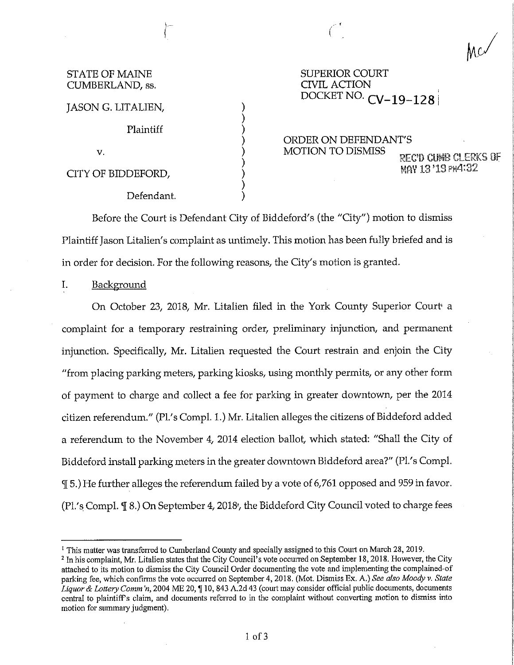| <b>STATE OF MAINE</b> |
|-----------------------|
| CUMBERLAND, ss.       |

SUPERIOR COURT CIVIL ACTION DOCKET NO. **CV-19-128** j

JASON G. LITALIEN, Plaintiff V. CITY OF BIDDEFORD, Defendant. ) ) ) ) ) ) ) ) ) ORDER ON DEFENDANT'S<br>MOTION TO DISMISS REC'D CUMB CLERKS OF  $M$ <sup>2</sup> 13 '19  $PM$ <sup>4:32</sup>

L- *(* \

Before the Court is Defendant City of Biddeford's (the "City") motion to dismiss Plaintiff Jason Litalien's complaint as untimely. This motion has been fully briefed and is in order for decision. For the following reasons, the City's motion is granted.

I. Background

On October 23, 2018, Mr. Litalien filed in the York County Superior Court• a complaint for a temporary restraining order, preliminary injunction, and permanent injunction. Specifically, Mr. Litalien requested the Court restrain and enjoin the City "from placing parking meters, parking kiosks, using monthly permits, or any other form of payment to charge and collect a fee for parking in greater downtown, per the 2014 citizen referendum." (Pl.'s Compl. 1.) Mr. Litalien alleges the citizens of Biddeford added a referendum to the November 4, 2014 election ballot, which stated: "Shall the City of Biddeford install parking meters in the greater downtown Biddeford area?" (Pl.'s Compl. 'II 5.) He further alleges the referendum failed by a vote of 6,761 opposed and 959 in favor. (Pl.'s Compl.  $\mathcal{I}$  8.) On September 4, 2018<sup>2</sup>, the Biddeford City Council voted to charge fees

<sup>&</sup>lt;sup>1</sup> This matter was transferred to Cumberland County and specially assigned to this Court on March 28, 2019.

<sup>&</sup>lt;sup>2</sup> In his complaint, Mr. Litalien states that the City Council's vote occurred on September 18, 2018. However, the City attached to its motion to dismiss the City Council Order documenting the vote and implementing the complained-of parking fee, which confirms the vote occurred on September 4, 2018. (Mot. Dismiss Ex. A.) See also Moody v. State *Liquor & Lottery Comm'n, 2004 ME 20,* [10, 843 A.2d 43 (court may consider official public documents, documents central to plaintiff's claim, and documents referred to in the complaint without converting motion to dismiss into motion for summary judgment).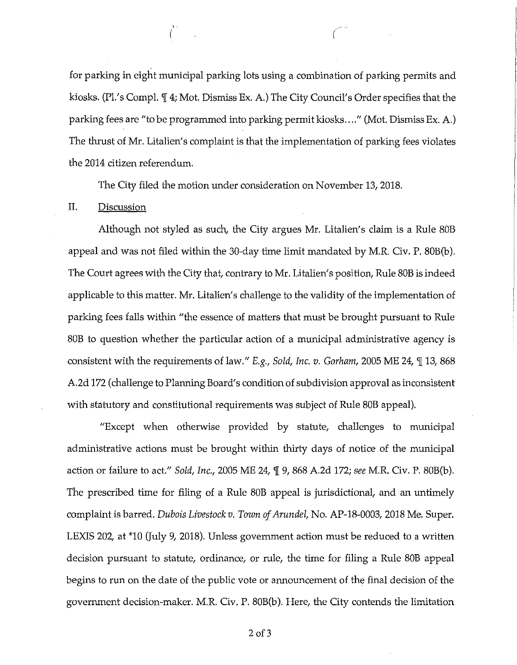for parking in eight municipal parking lots using a combination of parking permits and kiosks. (Pl.'s Compl.  $\P$  4; Mot. Dismiss Ex. A.) The City Council's Order specifies that the parking fees are "to be programmed into parking permit kiosks .... " (Mot. Dismiss Ex. A.) The thrust of Mr. Litalien's complaint is that the implementation of parking fees violates the 2014 citizen referendum.

( *(* 

The City filed the motion under consideration on November 13, 2018.

## II. Discussion

Although not styled as such, the City argues Mr. Litalien's claim is a Rule SOB appeal and was not filed within the 30-day time limit mandated by M.R. Civ. P. SOB(b). The Court agrees with the City that, contrary to Mr. Litalien' s position, Rule SOB is indeed applicable to this matter. Mr. Litalien's challenge to the validity of the implementation of parking fees falls within "the essence of matters that must be brought pursuant to Rule SOB to question whether the particular action of a municipal administrative agency is consistent with the requirements of law." *E.g., Sold, Inc. v. Gorham,* 2005 ME 24, 1 13, 868 A.2d 172 (challenge to Planning Board's condition of subdivision approval as inconsistent with statutory and constitutional requirements was subject of Rule SOB appeal).

"Except when otherwise provided by statute, challenges to municipal administrative actions must be brought within thirty days of notice of the municipal action or failure to act." *Sold, Inc.,* 2005 ME 24, 'l[ 9, 868 A.2d 172; *see* M.R. Civ. P. SOB(b). The prescribed time for filing of a Rule SOB appeal is jurisdictional, and an untimely complaint is barred. *Dubois Livestockv. Town of Arundel,* No. AP-18-0003, 2018 Me. Super. LEXIS 202, at \*10 (July 9, 2018). Unless government action must be reduced to a written decision pursuant to statute, ordinance, or rule, the time for filing a Rule SOB appeal begins to run on the date of the public vote or announcement of the final decision of the government decision-maker. M.R. Civ. P. SOB(b). Here, the City contends the limitation

 $2$  of  $3$